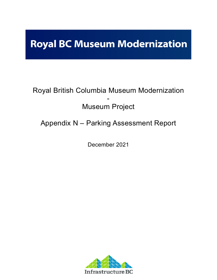# **Royal BC Museum Modernization**

## Royal British Columbia Museum Modernization - Museum Project

## Appendix N – Parking Assessment Report

December 2021

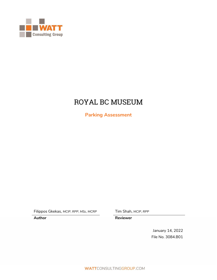

## ROYAL BC MUSEUM

**Parking Assessment**

Filippos Gkekas, *MCIP, RPP, MSc, MCRP* Tim Shah, *MCIP, RPP*

**Author Reviewer**

January 14, 2022 File No. 3084.B01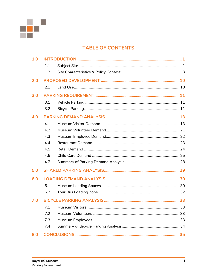

### **TABLE OF CONTENTS**

| 1.0 |     |  |  |
|-----|-----|--|--|
|     | 1.1 |  |  |
|     | 1.2 |  |  |
| 2.0 |     |  |  |
|     | 2.1 |  |  |
| 3.0 |     |  |  |
|     | 3.1 |  |  |
|     | 3.2 |  |  |
| 4.0 |     |  |  |
|     | 4.1 |  |  |
|     | 4.2 |  |  |
|     | 4.3 |  |  |
|     | 4.4 |  |  |
|     | 4.5 |  |  |
|     | 4.6 |  |  |
|     | 4.7 |  |  |
| 5.0 |     |  |  |
| 6.0 |     |  |  |
|     | 6.1 |  |  |
|     | 6.2 |  |  |
| 7.0 |     |  |  |
|     | 7.1 |  |  |
|     | 7.2 |  |  |
|     | 7.3 |  |  |
|     | 7.4 |  |  |
| 8.0 |     |  |  |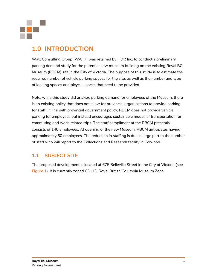

### <span id="page-3-0"></span>**1.0 INTRODUCTION**

Watt Consulting Group (WATT) was retained by HDR Inc. to conduct a preliminary parking demand study for the potential new museum building on the existing Royal BC Museum (RBCM) site in the City of Victoria. The purpose of this study is to estimate the required number of vehicle parking spaces for the site, as well as the number and type of loading spaces and bicycle spaces that need to be provided.

Note, while this study did analyze parking demand for employees of the Museum, there is an existing policy that does not allow for provincial organizations to provide parking for staff. In line with provincial government policy, RBCM does not provide vehicle parking for employees but instead encourages sustainable modes of transportation for commuting and work-related trips. The staff compliment at the RBCM presently consists of 140 employees. At opening of the new Museum, RBCM anticipates having approximately 60 employees. The reduction in staffing is due in large part to the number of staff who will report to the Collections and Research facility in Colwood.

### <span id="page-3-1"></span>**1.1 SUBJECT SITE**

The proposed development is located at 675 Belleville Street in the City of Victoria (see **Figure 1**). It is currently zoned CD-13, Royal British Columbia Museum Zone.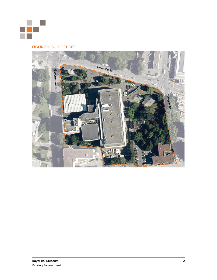

#### **FIGURE 1. SUBJECT SITE**

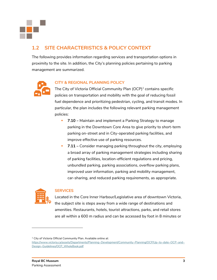

### <span id="page-5-0"></span>**1.2 SITE CHARACTERISTICS & POLICY CONTEXT**

The following provides information regarding services and transportation options in proximity to the site. In addition, the City's planning policies pertaining to parking management are summarized.



#### **CITY & REGIONAL PLANNING POLICY**

The City of Victoria Official Community Plan (OCP) $^{\rm 1}$  contains specific policies on transportation and mobility with the goal of reducing fossil fuel dependence and prioritizing pedestrian, cycling, and transit modes. In particular, the plan includes the following relevant parking management policies:

- **7.10 –** Maintain and implement a Parking Strategy to manage parking in the Downtown Core Area to give priority to short-term parking on-street and in City-operated parking facilities, and improve effective use of parking resources.
- **7.11 –** Consider managing parking throughout the city, employing a broad array of parking management strategies including sharing of parking facilities, location-efficient regulations and pricing, unbundled parking, parking associations, overflow parking plans, improved user information, parking and mobility management, car-sharing, and reduced parking requirements, as appropriate.



#### **SERVICES**

Located in the Core Inner Harbour/Legislative area of downtown Victoria, the subject site is steps away from a wide range of destinations and amenities. Restaurants, hotels, tourist attractions, parks, and retail stores are all within a 600 m radius and can be accessed by foot in 8 minutes or

<sup>&</sup>lt;sup>1</sup> City of Victoria Official Community Plan. Available online at:

[https://www.victoria.ca/assets/Departments/Planning~Development/Community~Planning/OCP/Up~to~date~OCP~and~](https://www.victoria.ca/assets/Departments/Planning~Development/Community~Planning/OCP/Up~to~date~OCP~and~Design~Guidelines/OCP_WholeBook.pdf) [Design~Guidelines/OCP\\_WholeBook.pdf](https://www.victoria.ca/assets/Departments/Planning~Development/Community~Planning/OCP/Up~to~date~OCP~and~Design~Guidelines/OCP_WholeBook.pdf)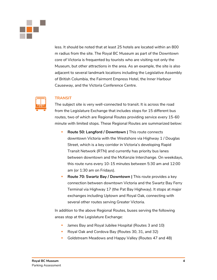

less. It should be noted that at least 25 hotels are located within an 800 m radius from the site. The Royal BC Museum as part of the Downtown core of Victoria is frequented by tourists who are visiting not only the Museum, but other attractions in the area. As an example, the site is also adjacent to several landmark locations including the Legislative Assembly of British Columbia, the Fairmont Empress Hotel, the Inner Harbour Causeway, and the Victoria Conference Centre.

#### **TRANSIT**

The subject site is very well-connected to transit. It is across the road from the Legislature Exchange that includes stops for 15 different bus routes, two of which are Regional Routes providing service every 15-60 minute with limited stops. These Regional Routes are summarized below:

- **Route 50: Langford / Downtown |** This route connects downtown Victoria with the Westshore via Highway 1 / Douglas Street, which is a key corridor in Victoria's developing Rapid Transit Network (RTN) and currently has priority bus lanes between downtown and the McKenzie Interchange. On weekdays, this route runs every 10-15 minutes between 5:30 am and 12:00 am (or 1:30 am on Fridays).
- **Route 70: Swartz Bay / Downtown | This route provides a key** connection between downtown Victoria and the Swartz Bay Ferry Terminal via Highway 17 (the Pat Bay Highway). It stops at major exchanges including Uptown and Royal Oak, connecting with several other routes serving Greater Victoria.

In addition to the above Regional Routes, buses serving the following areas stop at the Legislature Exchange:

- **E** James Bay and Royal Jubilee Hospital (Routes 3 and 10)
- Royal Oak and Cordova Bay (Routes 30, 31, and 32)
- Goldstream Meadows and Happy Valley (Routes 47 and 48)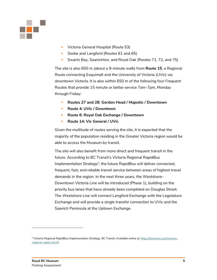

- **Victoria General Hospital (Route 53)**
- Sooke and Langford (Routes 61 and 65)
- Swartz Bay, Saanichton, and Royal Oak (Routes 71, 72, and 75)

The site is also 650 m (about a 9-minute walk) from **Route 15**, a Regional Route connecting Esquimalt and the University of Victoria (UVic) via downtown Victoria. It is also within 650 m of the following four Frequent Routes that provide 15 minute or better service 7am-7pm, Monday through Friday:

- **Routes 27 and 28: Gordon Head / Majestic / Downtown**
- **Route 4: UVic / Downtown**
- **Route 6: Royal Oak Exchange / Downtown**
- **Route 14: Vic General / UVic**

Given the multitude of routes serving the site, it is expected that the majority of the population residing in the Greater Victoria region would be able to access the Museum by transit.

The site will also benefit from more direct and frequent transit in the future. According to BC Transit's Victoria Regional RapidBus Implementation Strategy<sup>2</sup>, the future RapidBus will deliver connected, frequent, fast, and reliable transit service between areas of highest travel demands in the region. In the next three years, the Westshore-Downtown Victoria Line will be introduced (Phase 1), building on the priority bus lanes that have already been completed on Douglas Street. The Westshore Line will connect Langford Exchange with the Legislature Exchange and will provide a single transfer connection to UVic and the Saanich Peninsula at the Uptown Exchange.

<sup>&</sup>lt;sup>2</sup> Victoria Regional RapidBus Implementation Strategy, BC Transit. Available online at[: https://bctransit.com/victoria](https://bctransit.com/victoria-regional-rapid-transit)[regional-rapid-transit](https://bctransit.com/victoria-regional-rapid-transit)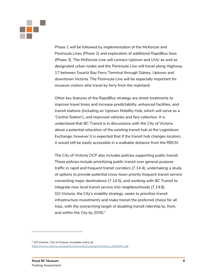

Phase 1 will be followed by implementation of the McKenzie and Peninsula Lines (Phase 2) and exploration of additional RapidBus lines (Phase 3). The McKenzie Line will connect Uptown and UVic as well as designated urban nodes and the Peninsula Line will travel along Highway 17 between Swartz Bay Ferry Terminal through Sidney, Uptown and downtown Victoria. The Peninsula Line will be especially important for museum visitors who travel by ferry from the mainland.

Other key features of the RapidBus strategy are street treatments to improve travel times and increase predictability, enhanced facilities, and transit stations (including an Uptown Mobility Hub, which will serve as a 'Central Station'), and improved vehicles and fare collection. It is understood that BC Transit is in discussions with the City of Victoria about a potential relocation of the existing transit hub at the Legislature Exchange, however it is expected that if the transit hub changes location, it would still be easily accessible in a walkable distance from the RBCM.

The City of Victoria OCP also includes policies supporting public transit. These policies include prioritizing public transit over general purpose traffic in rapid and frequent transit corridors (7.14.4), undertaking a study of options to provide potential cross-town priority frequent transit service connecting major destinations (7.14.5), and working with BC Transit to integrate new local transit service into neighbourhoods (7.14.6). GO Victoria, the City's mobility strategy, seeks to prioritize transit infrastructure investments and make transit the preferred choice for all trips, with the overarching target of doubling transit ridership to, from, and within the City by  $2030.<sup>3</sup>$ 

<sup>&</sup>lt;sup>3</sup> GO Victoria, City of Victoria. Available online at: [https://www.victoria.ca/assets/Community/Cycling/GoVictoria\\_2020DEC.pdf](https://www.victoria.ca/assets/Community/Cycling/GoVictoria_2020DEC.pdf)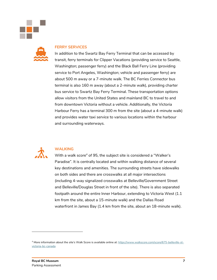



#### **FERRY SERVICES**

In addition to the Swartz Bay Ferry Terminal that can be accessed by transit, ferry terminals for Clipper Vacations (providing service to Seattle, Washington; passenger ferry) and the Black Ball Ferry Line (providing service to Port Angeles, Washington; vehicle and passenger ferry) are about 500 m away or a 7-minute walk. The BC Ferries Connector bus terminal is also 160 m away (about a 2-minute walk), providing charter bus service to Swartz Bay Ferry Terminal. These transportation options allow visitors from the United States and mainland BC to travel to and from downtown Victoria without a vehicle. Additionally, the Victoria Harbour Ferry has a terminal 300 m from the site (about a 4-minute walk) and provides water taxi service to various locations within the harbour and surrounding waterways.



#### **WALKING**

With a walk score<sup>4</sup> of 95, the subject site is considered a "Walker's Paradise". It is centrally located and within walking distance of several key destinations and amenities. The surrounding streets have sidewalks on both sides and there are crosswalks at all major intersections (including 4-way signalized crosswalks at Belleville/Government Street and Belleville/Douglas Street in front of the site). There is also separated footpath around the entire Inner Harbour, extending to Victoria West (1.1 km from the site, about a 15-minute walk) and the Dallas Road waterfront in James Bay (1.4 km from the site, about an 18-minute walk).

<sup>&</sup>lt;sup>4</sup> More information about the site's Walk Score is available online at[: https://www.walkscore.com/score/675-belleville-st](https://www.walkscore.com/score/675-belleville-st-victoria-bc-canada)[victoria-bc-canada](https://www.walkscore.com/score/675-belleville-st-victoria-bc-canada)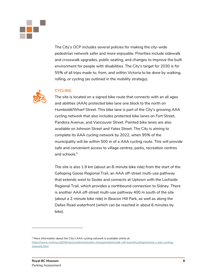

The City's OCP includes several policies for making the city-wide pedestrian network safer and more enjoyable. Priorities include sidewalk and crosswalk upgrades, public seating, and changes to improve the built environment for people with disabilities. The City's target for 2030 is for 55% of all trips made to, from, and within Victoria to be done by walking, rolling, or cycling (as outlined in the mobility strategy).



#### **CYCLING**

The site is located on a signed bike route that connects with an all ages and abilities (AAA) protected bike lane one block to the north on Humboldt/Wharf Street. This bike lane is part of the City's growing AAA cycling network that also includes protected bike lanes on Fort Street, Pandora Avenue, and Vancouver Street. Painted bike lanes are also available on Johnson Street and Yates Street. The City is aiming to complete its AAA cycling network by 2022, when 95% of the municipality will be within 500 m of a AAA cycling route. This will provide safe and convenient access to village centres, parks, recreation centres and schools.<sup>5</sup>

The site is also 1.9 km (about an 8-minute bike ride) from the start of the Galloping Goose Regional Trail, an AAA off-street multi-use pathway that extends west to Sooke and connects at Uptown with the Lochside Regional Trail, which provides a northbound connection to Sidney. There is another AAA off-street multi-use pathway 400 m south of the site (about a 2-minute bike ride) in Beacon Hill Park, as well as along the Dallas Road waterfront (which can be reached in about 6 minutes by bike).

<sup>5</sup> More information about the City's AAA cycling network is available online at: [https://www.victoria.ca/EN/main/residents/streets-transportation/walk-roll-transit/cycling/victoria-s-aaa-cycling](https://www.victoria.ca/EN/main/residents/streets-transportation/walk-roll-transit/cycling/victoria-s-aaa-cycling-network.html)[network.html](https://www.victoria.ca/EN/main/residents/streets-transportation/walk-roll-transit/cycling/victoria-s-aaa-cycling-network.html)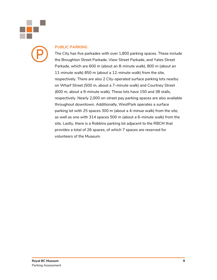

#### **PUBLIC PARKING**

The City has five parkades with over 1,800 parking spaces. These include the Broughton Street Parkade, View Street Parkade, and Yates Street Parkade, which are 600 m (about an 8-minute walk), 800 m (about an 11-minute walk) 850 m (about a 12-minute walk) from the site, respectively. There are also 2 City-operated surface parking lots nearby on Wharf Street (500 m, about a 7-minute walk) and Courtney Street (600 m, about a 9-minute walk). These lots have 150 and 38 stalls, respectively. Nearly 2,000 on-street pay parking spaces are also available throughout downtown. Additionally, WestPark operates a surface parking lot with 25 spaces 300 m (about a 4-minue walk) from the site, as well as one with 314 spaces 500 m (about a 6-minute walk) from the site. Lastly, there is a Robbins parking lot adjacent to the RBCM that provides a total of 26 spaces, of which 7 spaces are reserved for volunteers of the Museum.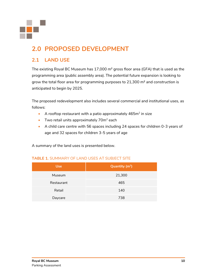

## <span id="page-12-0"></span>**2.0 PROPOSED DEVELOPMENT**

### <span id="page-12-1"></span>**2.1 LAND USE**

The existing Royal BC Museum has 17,000 m<sup>2</sup> gross floor area (GFA) that is used as the programming area (public assembly area). The potential future expansion is looking to grow the total floor area for programming purposes to  $21,300$  m<sup>2</sup> and construction is anticipated to begin by 2025.

The proposed redevelopment also includes several commercial and institutional uses, as follows:

- A rooftop restaurant with a patio approximately  $465m^2$  in size
- Two retail units approximately  $70m^2$  each
- A child care centre with 56 spaces including 24 spaces for children 0-3 years of age and 32 spaces for children 3-5 years of age

A summary of the land uses is presented below.

#### **TABLE 1.** SUMMARY OF LAND USES AT SUBJECT SITE

| <b>Use</b> | Quantity $(m^2)$ |
|------------|------------------|
| Museum     | 21,300           |
| Restaurant | 465              |
| Retail     | 140              |
| Daycare    | 738              |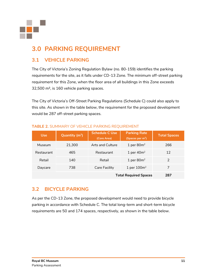

## <span id="page-13-0"></span>**3.0 PARKING REQUIREMENT**

### <span id="page-13-1"></span>**3.1 VEHICLE PARKING**

The City of Victoria's Zoning Regulation Bylaw (no. 80-159) identifies the parking requirements for the site, as it falls under CD-13 Zone. The minimum off-street parking requirement for this Zone, when the floor area of all buildings in this Zone exceeds 32,500 m², is 160 vehicle parking spaces.

The City of Victoria's Off-Street Parking Regulations (Schedule C) could also apply to this site. As shown in the table below, the requirement for the proposed development would be 287 off-street parking spaces.

| <b>Use</b> | Quantity $(m^2)$ | <b>Schedule C Use</b><br>(Core Area) | <b>Parking Rate</b><br>(Spaces per $m2$ ) | <b>Total Spaces</b> |
|------------|------------------|--------------------------------------|-------------------------------------------|---------------------|
| Museum     | 21,300           | Arts and Culture                     | 1 per $80m^2$                             | 266                 |
| Restaurant | 465              | Restaurant                           | 1 per $40m^2$                             | 12                  |
| Retail     | 140              | Retail                               | 1 per $80m^2$                             | $\mathcal{P}$       |
| Daycare    | 738              | <b>Care Facility</b>                 | 1 per $100m^2$                            |                     |
|            | 287              |                                      |                                           |                     |

#### **TABLE 2.** SUMMARY OF VEHICLE PARKING REQUIREMENT

### <span id="page-13-2"></span>**3.2 BICYCLE PARKING**

As per the CD-13 Zone, the proposed development would need to provide bicycle parking in accordance with Schedule C. The total long-term and short-term bicycle requirements are 50 and 174 spaces, respectively, as shown in the table below.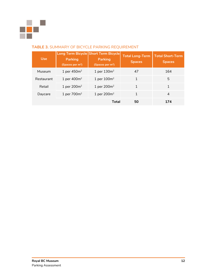

#### **TABLE 3.** SUMMARY OF BICYCLE PARKING REQUIREMENT

| <b>Use</b>               | <b>Parking</b><br>(Spaces per $m2$ ) | Long Term Bicycle Short Term Bicycle<br><b>Parking</b><br>(Spaces per $m2$ ) | <b>Total Long-Term</b><br><b>Spaces</b> | <b>Total Short-Term</b><br><b>Spaces</b> |
|--------------------------|--------------------------------------|------------------------------------------------------------------------------|-----------------------------------------|------------------------------------------|
| Museum                   | 1 per $450m2$                        | 1 per $130m2$                                                                | 47                                      | 164                                      |
| Restaurant               | 1 per $400m^2$                       | 1 per $100m^2$                                                               |                                         | 5                                        |
| Retail                   | 1 per $200m^2$                       | 1 per $200m^2$                                                               |                                         |                                          |
| 1 per $700m²$<br>Daycare |                                      | 1 per $200m^2$                                                               |                                         | $\overline{4}$                           |
|                          |                                      | Total                                                                        | 50                                      | 174                                      |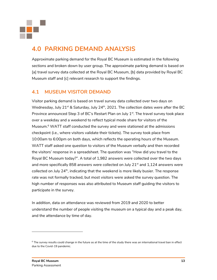

### <span id="page-15-0"></span>**4.0 PARKING DEMAND ANALYSIS**

Approximate parking demand for the Royal BC Museum is estimated in the following sections and broken down by user group. The approximate parking demand is based on [a] travel survey data collected at the Royal BC Museum, [b] data provided by Royal BC Museum staff and [c] relevant research to support the findings.

### <span id="page-15-1"></span>**4.1 MUSEUM VISITOR DEMAND**

Visitor parking demand is based on travel survey data collected over two days on Wednesday, July  $21^{st}$  & Saturday, July  $24^{th}$ , 2021. The collection dates were after the BC Province announced Step 3 of BC's Restart Plan on July  $1^{st}$ . The travel survey took place over a weekday and a weekend to reflect typical mode share for visitors of the Museum. <sup>6</sup> WATT staff conducted the survey and were stationed at the admissions checkpoint (i.e., where visitors validate their tickets). The survey took place from 10:00am to 6:00pm on both days, which reflects the operating hours of the Museum. WATT staff asked one question to visitors of the Museum verbally and then recorded the visitors' response in a spreadsheet. The question was "How did you travel to the Royal BC Museum today?". A total of 1,982 answers were collected over the two days and more specifically 858 answers were collected on July  $21<sup>st</sup>$  and  $1,124$  answers were collected on July 24<sup>th</sup>, indicating that the weekend is more likely busier. The response rate was not formally tracked, but most visitors were asked the survey question. The high number of responses was also attributed to Museum staff guiding the visitors to participate in the survey.

In addition, data on attendance was reviewed from 2019 and 2020 to better understand the number of people visiting the museum on a typical day and a peak day, and the attendance by time of day.

 $6$  The survey results could change in the future as at the time of the study there was an international travel ban in effect due to the Covid-19 pandemic.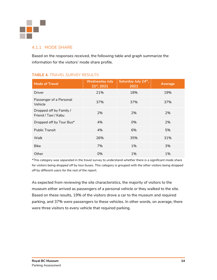

#### 4.1.1 MODE SHARE

Based on the responses received, the following table and graph summarize the information for the visitors' mode share profile.

| <b>Mode of Travel</b>                           | <b>Wednesday July</b><br>21st, 2021 | Saturday July 24th,<br>2021 | <b>Average</b> |
|-------------------------------------------------|-------------------------------------|-----------------------------|----------------|
| Driver                                          | 21%                                 | 18%                         | 19%            |
| Passenger of a Personal<br>Vehicle              | 37%                                 | 37%                         | 37%            |
| Dropped off by Family /<br>Friend / Taxi / Kabu | 2%                                  | 2%                          | 2%             |
| Dropped off by Tour Bus*                        | 4%                                  | 0%                          | 2%             |
| <b>Public Transit</b>                           | 4%                                  | 6%                          | 5%             |
| Walk                                            | 26%                                 | 35%                         | 31%            |
| <b>Bike</b>                                     | 7%                                  | 1%                          | 3%             |
| Other                                           | 0%                                  | 1%                          | 1%             |

#### **TABLE 4.** TRAVEL SURVEY RESULTS

*\*This category was separated in the travel survey to understand whether there is a significant mode share*  for visitors being dropped off by tour buses. This category is grouped with the other visitors being dropped *off by different users for the rest of the report.*

As expected from reviewing the site characteristics, the majority of visitors to the museum either arrived as passengers of a personal vehicle or they walked to the site. Based on these results, 19% of the visitors drove a car to the museum and required parking, and 37% were passengers to these vehicles. In other words, on average, there were three visitors to every vehicle that required parking.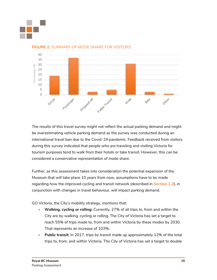



#### **FIGURE 2.** SUMMARY OF MODE SHARE FOR VISITORS

The results of this travel survey might not reflect the actual parking demand and might be overestimating vehicle parking demand as the survey was conducted during an international travel ban due to the Covid-19 pandemic. Feedback received from visitors during this survey indicated that people who are traveling and visiting Victoria for tourism purposes tend to walk from their hotels or take transit. However, this can be considered a conservative representation of mode share.

Further, as this assessment takes into consideration the potential expansion of the Museum that will take place 10 years from now, assumptions have to be made regarding how the improved cycling and transit network (described in **Section 1.2**), in conjunction with changes in travel behaviour, will impact parking demand.

GO Victoria, the City's mobility strategy, mentions that:

- **Walking, cycling or rolling:** Currently, 27% of all trips to, from and within the City are by walking, cycling or rolling. The City of Victoria has set a target to reach 55% of trips made to, from and within Victoria by these modes by 2030. That represents an increase of 103%.
- **Public transit:** In 2017, trips by transit made up approximately 12% of the total trips to, from, and within Victoria. The City of Victoria has set a target to double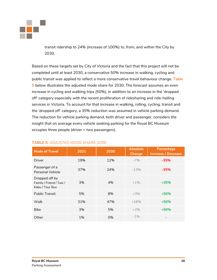

transit ridership to 24% (increase of 100%) to, from, and within the City by 2030.

Based on these targets set by City of Victoria and the fact that this project will not be completed until at least 2030, a conservative 50% increase in walking, cycling and public transit was applied to reflect a more conservative travel behaviour change. **Table 5** below illustrates the adjusted mode share for 2030. The forecast assumes an even increase in cycling and walking trips (50%), in addition to an increase in the 'dropped off' category especially with the recent proliferation of ridesharing and ride-hailing services in Victoria. To account for that increase in walking, rolling, cycling, transit and the 'dropped off' category, a 35% reduction was assumed in vehicle parking demand. The reduction for vehicle parking demand, both driver and passenger, considers the insight that on average every vehicle seeking parking for the Royal BC Museum occupies three people (driver + two passengers).

| <b>Mode of Travel</b>                                         | 2021 | 2030 | <b>Absolute</b><br>Change | Percentage<br><b>Increase / Decrease</b> |
|---------------------------------------------------------------|------|------|---------------------------|------------------------------------------|
| Driver                                                        | 19%  | 12%  | $-7%$                     | $-35%$                                   |
| Passenger of a<br><b>Personal Vehicle</b>                     | 37%  | 24%  | $-13%$                    | $-35%$                                   |
| Dropped off by<br>Family / Friend / Taxi /<br>Kabu / Tour Bus | 3%   | 4%   | $+1\%$                    | $+35%$                                   |
| <b>Public Transit</b>                                         | 5%   | 8%   | $+3%$                     | $+50%$                                   |
| Walk                                                          | 31%  | 47%  | $+16%$                    | $+50%$                                   |
| <b>Bike</b>                                                   | 3%   | 5%   | $+2%$                     | $+50%$                                   |
| 1%<br>Other                                                   |      | 0%   | $-1\%$                    |                                          |

#### **TABLE 5.** ADJUSTED MODE SHARE 2030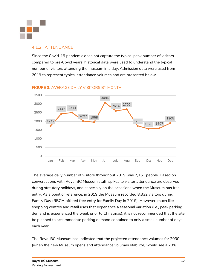

#### 4.1.2 ATTENDANCE

Since the Covid-19 pandemic does not capture the typical peak number of visitors compared to pre-Covid years, historical data were used to understand the typical number of visitors attending the museum in a day. Admission data were used from 2019 to represent typical attendance volumes and are presented below.



#### **FIGURE 3.** AVERAGE DAILY VISITORS BY MONTH

The average daily number of visitors throughout 2019 was 2,161 people. Based on conversations with Royal BC Museum staff, spikes to visitor attendance are observed during statutory holidays, and especially on the occasions when the Museum has free entry. As a point of reference, in 2019 the Museum recorded 8,332 visitors during Family Day (RBCM offered free entry for Family Day in 2019). However, much like shopping centres and retail uses that experience a seasonal variation (i.e., peak parking demand is experienced the week prior to Christmas), it is not recommended that the site be planned to accommodate parking demand contained to only a small number of days each year.

The Royal BC Museum has indicated that the projected attendance volumes for 2030 (when the new Museum opens and attendance volumes stabilize) would see a 28%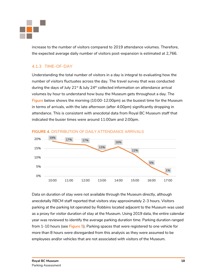

increase to the number of visitors compared to 2019 attendance volumes. Therefore, the expected average daily number of visitors post-expansion is estimated at 2,766.

#### 4.1.3 TIME-OF-DAY

Understanding the total number of visitors in a day is integral to evaluating how the number of visitors fluctuates across the day. The travel survey that was conducted during the days of July  $21^{st}$  & July  $24^{th}$  collected information on attendance arrival volumes by hour to understand how busy the Museum gets throughout a day. The **Figure** below shows the morning (10:00-12:00pm) as the busiest time for the Museum in terms of arrivals, with the late afternoon (after 4:00pm) significantly dropping in attendance. This is consistent with anecdotal data from Royal BC Museum staff that indicated the busier times were around 11:00am and 2:00pm.



**FIGURE 4.** DISTRIBUTION OF DAILY ATTENDANCE ARRIVALS

Data on duration of stay were not available through the Museum directly, although anecdotally RBCM staff reported that visitors stay approximately 2-3 hours. Visitors parking at the parking lot operated by Robbins located adjacent to the Museum was used as a proxy for visitor duration of stay at the Museum. Using 2019 data, the entire calendar year was reviewed to identify the average parking duration time. Parking duration ranged from 1-10 hours (see **Figure 5**). Parking spaces that were registered to one vehicle for more than 8 hours were disregarded from this analysis as they were assumed to be employees and/or vehicles that are not associated with visitors of the Museum.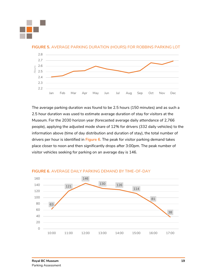



**FIGURE 5.** AVERAGE PARKING DURATION (HOURS) FOR ROBBINS PARKING LOT

The average parking duration was found to be 2.5 hours (150 minutes) and as such a 2.5 hour duration was used to estimate average duration of stay for visitors at the Museum. For the 2030 horizon year (forecasted average daily attendance of 2,766 people), applying the adjusted mode share of 12% for drivers (332 daily vehicles) to the information above (time of day distribution and duration of stay), the total number of drivers per hour is identified in **Figure 6**. The peak for visitor parking demand takes place closer to noon and then significantly drops after 3:00pm. The peak number of visitor vehicles seeking for parking on an average day is 146.



#### **FIGURE 6.** AVERAGE DAILY PARKING DEMAND BY TIME-OF-DAY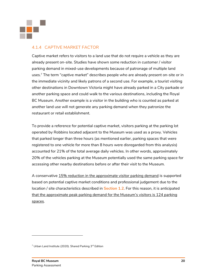

#### 4.1.4 CAPTIVE MARKET FACTOR

Captive market refers to visitors to a land use that do not require a vehicle as they are already present on-site. Studies have shown some reduction in customer / visitor parking demand in mixed-use developments because of patronage of multiple land uses.<sup>7</sup> The term "captive market" describes people who are already present on-site or in the immediate vicinity and likely patrons of a second use. For example, a tourist visiting other destinations in Downtown Victoria might have already parked in a City parkade or another parking space and could walk to the various destinations, including the Royal BC Museum. Another example is a visitor in the building who is counted as parked at another land use will not generate any parking demand when they patronize the restaurant or retail establishment.

To provide a reference for potential captive market, visitors parking at the parking lot operated by Robbins located adjacent to the Museum was used as a proxy. Vehicles that parked longer than three hours (as mentioned earlier, parking spaces that were registered to one vehicle for more than 8 hours were disregarded from this analysis) accounted for 21% of the total average daily vehicles. In other words, approximately 20% of the vehicles parking at the Museum potentially used the same parking space for accessing other nearby destinations before or after their visit to the Museum.

A conservative 15% reduction in the approximate visitor parking demand is supported based on potential captive market conditions and professional judgement due to the location / site characteristics described in **Section 1.2**. For this reason, it is anticipated that the approximate peak parking demand for the Museum's visitors is 124 parking spaces.

 $7$  Urban Land Institute (2020). Shared Parking  $3^{rd}$  Edition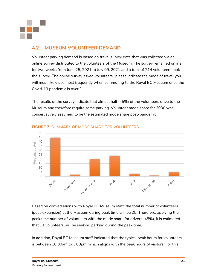

### <span id="page-23-0"></span>**4.2 MUSEUM VOLUNTEER DEMAND**

Volunteer parking demand is based on travel survey data that was collected via an online survey distributed to the volunteers of the Museum. The survey remained online for two weeks from June 25, 2021 to July 09, 2021 and a total of 214 volunteers took the survey. The online survey asked volunteers "please indicate the mode of travel you will most likely use most frequently when commuting to the Royal BC Museum once the Covid-19 pandemic is over."

The results of the survey indicate that almost half (45%) of the volunteers drive to the Museum and therefore require some parking. Volunteer mode share for 2030 was conservatively assumed to be the estimated mode share post-pandemic.



#### **FIGURE 7.** SUMMARY OF MODE SHARE FOR VOLUNTEERS

Based on conversations with Royal BC Museum staff, the total number of volunteers (post-expansion) at the Museum during peak time will be 25. Therefore, applying the peak time number of volunteers with the mode share for drivers (45%), it is estimated that 11 volunteers will be seeking parking during the peak time.

In addition, Royal BC Museum staff indicated that the typical peak hours for volunteers is between 10:00am to 3:00pm, which aligns with the peak hours of visitors. For this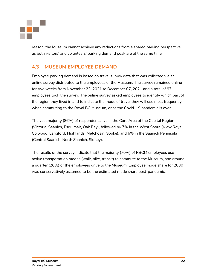

reason, the Museum cannot achieve any reductions from a shared parking perspective as both visitors' and volunteers' parking demand peak are at the same time.

### <span id="page-24-0"></span>**4.3 MUSEUM EMPLOYEE DEMAND**

Employee parking demand is based on travel survey data that was collected via an online survey distributed to the employees of the Museum. The survey remained online for two weeks from November 22, 2021 to December 07, 2021 and a total of 97 employees took the survey. The online survey asked employees to identify which part of the region they lived in and to indicate the mode of travel they will use most frequently when commuting to the Royal BC Museum, once the Covid-19 pandemic is over.

The vast majority (86%) of respondents live in the Core Area of the Capital Region (Victoria, Saanich, Esquimalt, Oak Bay), followed by 7% in the West Shore (View Royal, Colwood, Langford, Highlands, Metchosin, Sooke), and 6% in the Saanich Peninsula (Central Saanich, North Saanich, Sidney).

The results of the survey indicate that the majority (70%) of RBCM employees use active transportation modes (walk, bike, transit) to commute to the Museum, and around a quarter (26%) of the employees drive to the Museum. Employee mode share for 2030 was conservatively assumed to be the estimated mode share post-pandemic.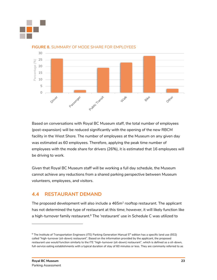



#### **FIGURE 8.** SUMMARY OF MODE SHARE FOR EMPLOYEES

Based on conversations with Royal BC Museum staff, the total number of employees (post-expansion) will be reduced significantly with the opening of the new RBCM facility in the West Shore. The number of employees at the Museum on any given day was estimated as 60 employees. Therefore, applying the peak time number of employees with the mode share for drivers (26%), it is estimated that 16 employees will be driving to work.

Given that Royal BC Museum staff will be working a full day schedule, the Museum cannot achieve any reductions from a shared parking perspective between Museum volunteers, employees, and visitors.

#### <span id="page-25-0"></span>**4.4 RESTAURANT DEMAND**

The proposed development will also include a 465 $\mathsf{m}^2$  rooftop restaurant. The applicant has not determined the type of restaurant at this time; however, it will likely function like a high-turnover family restaurant.<sup>8</sup> The 'restaurant' use in Schedule C was utilized to

 $8$  The Institute of Transportation Engineers (ITE) Parking Generation Manual 5<sup>th</sup> edition has a specific land use (932) called "high-turnover (sit-down) restaurant". Based on the information provided by the applicant, the proposed restaurant use would function similarly to the ITE "high-turnover (sit-down) restaurant", which is defined as a sit-down, full-service eating establishments with a typical duration of stay of 60 minutes or less. They are commonly referred to as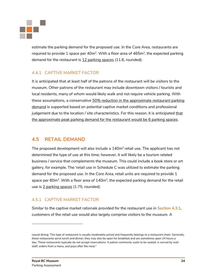

estimate the parking demand for the proposed use. In the Core Area, restaurants are required to provide 1 space per 40m<sup>2</sup>. With a floor area of 465m<sup>2</sup>, the expected parking demand for the restaurant is  $12$  parking spaces (11.6, rounded).

#### 4.4.1 CAPTIVE MARKET FACTOR

It is anticipated that at least half of the patrons of the restaurant will be visitors to the museum. Other patrons of the restaurant may include downtown visitors / tourists and local residents, many of whom would likely walk and not require vehicle parking. With these assumptions, a conservative  $50\%$  reduction in the approximate restaurant parking demand is supported based on potential captive market conditions and professional judgement due to the location / site characteristics. For this reason, it is anticipated that the approximate peak parking demand for the restaurant would be 6 parking spaces.

### <span id="page-26-0"></span>**4.5 RETAIL DEMAND**

The proposed development will also include a  $140\mathsf{m}^2$  retail use. The applicant has not determined the type of use at this time; however, it will likely be a tourism related business / service that complements the museum. This could include a book store or art gallery, for example. The 'retail use in Schedule C was utilized to estimate the parking demand for the proposed use. In the Core Area, retail units are required to provide 1 space per 80m $^2$ . With a floor area of  $140\mathsf{m}^2$ , the expected parking demand for the retail use is 2 parking spaces (1.75, rounded).

#### 4.5.1 CAPTIVE MARKET FACTOR

Similar to the captive market rationale provided for the restaurant use in **Section 4.3.1**, customers of the retail use would also largely comprise visitors to the museum. A

casual dining. This type of restaurant is usually moderately priced and frequently belongs to a restaurant chain. Generally, these restaurants serve lunch and dinner; they may also be open for breakfast and are sometimes open 24 hours a day. These restaurants typically do not accept reservations. A patron commonly waits to be seated, is served by wait staff, orders from a menu, and pays after the meal."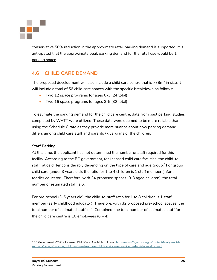

conservative 50% reduction in the approximate retail parking demand is supported. It is anticipated that the approximate peak parking demand for the retail use would be 1 parking space.

### <span id="page-27-0"></span>**4.6 CHILD CARE DEMAND**

The proposed development will also include a child care centre that is 738 $\mathrm{m}^2$  in size. It will include a total of 56 child care spaces with the specific breakdown as follows:

- Two 12 space programs for ages 0-3 (24 total)
- Two 16 space programs for ages 3-5 (32 total)

To estimate the parking demand for the child care centre, data from past parking studies completed by WATT were utilized. These data were deemed to be more reliable than using the Schedule C rate as they provide more nuance about how parking demand differs among child care staff and parents / guardians of the children.

#### **Staff Parking**

At this time, the applicant has not determined the number of staff required for this facility. According to the BC government, for licensed child care facilities, the child-tostaff ratios differ considerably depending on the type of care and age group.<sup>9</sup> For group child care (under 3 years old), the ratio for 1 to 4 children is 1 staff member (infant toddler educator). Therefore, with 24 proposed spaces (0-3 aged children), the total number of estimated staff is 6.

For pre-school (3-5 years old), the child-to-staff ratio for 1 to 8 children is 1 staff member (early childhood educator). Therefore, with 32 proposed pre-school spaces, the total number of estimated staff is 4. Combined, the total number of estimated staff for the child care centre is 10 employees  $(6 + 4)$ .

<sup>9</sup> BC Government. (2021). Licensed Child Care. Available online at: [https://www2.gov.bc.ca/gov/content/family-social](https://www2.gov.bc.ca/gov/content/family-social-supports/caring-for-young-children/how-to-access-child-care/licensed-unlicensed-child-care#licensed)[supports/caring-for-young-children/how-to-access-child-care/licensed-unlicensed-child-care#licensed](https://www2.gov.bc.ca/gov/content/family-social-supports/caring-for-young-children/how-to-access-child-care/licensed-unlicensed-child-care#licensed)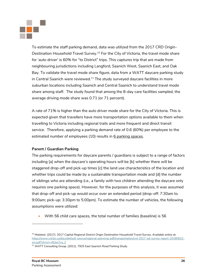

To estimate the staff parking demand, data was utilized from the 2017 CRD Origin-Destination Household Travel Survey.<sup>10</sup> For the City of Victoria, the travel mode share for 'auto driver' is 60% for "to District" trips. This captures trip that are made from neighbouring jurisdictions including Langford, Saanich West, Saanich East, and Oak Bay. To validate the travel mode share figure, data from a WATT daycare parking study in Central Saanich were reviewed.<sup>11</sup> The study surveyed daycare facilities in more suburban locations including Saanich and Central Saanich to understand travel mode share among staff. The study found that among the 8-day care facilities sampled, the average driving mode share was 0.71 (or 71 percent).

A rate of 71% is higher than the auto driver mode share for the City of Victoria. This is expected given that travellers have more transportation options available to them when travelling to Victoria including regional trails and more frequent and direct transit service. Therefore, applying a parking demand rate of 0.6 (60%) per employee to the estimated number of employees (10) results in 6 parking spaces.

#### **Parent / Guardian Parking**

The parking requirements for daycare parents / guardians is subject to a range of factors including [a] when the daycare's operating hours will be [b] whether there will be staggered drop-off and pick-up times [c] the land use characteristics of the location and whether trips could be made by a sustainable transportation mode and [d] the number of siblings who are attending (i.e., a family with two children attending the daycare only requires one parking space). However, for the purposes of this analysis, it was assumed that drop-off and pick-up would occur over an extended period (drop-off: 7:30am to 9:00am; pick-up: 3:30pm to 5:00pm). To estimate the number of vehicles, the following assumptions were utilized:

• With 56 child care spaces, the total number of families (baseline) is 56

<sup>&</sup>lt;sup>10</sup> Malatest. (2017). 2017 Capital Regional District Origin Destination Household Travel Survey. Available online at: https://www.crd.bc.ca/docs/default-source/regional-planning-pdf/transportation/crd-2017-od-survey-report-20180622 sm.pdf?sfvrsn=4fcbe7ca\_2

<sup>&</sup>lt;sup>11</sup> WATT Consulting Group. (2021). 7925 East Saanich Road Parking Study.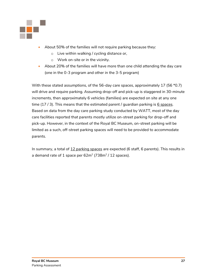

- About 50% of the families will not require parking because they:
	- o Live within walking / cycling distance or,
	- o Work on-site or in the vicinity.
- About 20% of the families will have more than one child attending the day care (one in the 0-3 program and other in the 3-5 program)

With these stated assumptions, of the 56-day care spaces, approximately 17 (56 \*0.7) will drive and require parking. Assuming drop-off and pick-up is staggered in 30-minute increments, then approximately 6 vehicles (families) are expected on site at any one time  $(17/3)$ . This means that the estimated parent / guardian parking is  $6$  spaces. Based on data from the day care parking study conducted by WATT, most of the day care facilities reported that parents mostly utilize on-street parking for drop-off and pick-up. However, in the context of the Royal BC Museum, on-street parking will be limited as a such, off-street parking spaces will need to be provided to accommodate parents.

In summary, a total of 12 parking spaces are expected (6 staff, 6 parents). This results in a demand rate of  $1$  space per 62m $^2$  (738m $^2$  / 12 spaces).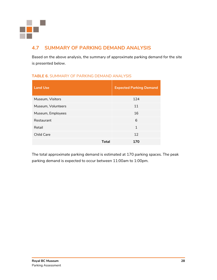

### <span id="page-30-0"></span>**4.7 SUMMARY OF PARKING DEMAND ANALYSIS**

Based on the above analysis, the summary of approximate parking demand for the site is presented below.

#### **TABLE 6.** SUMMARY OF PARKING DEMAND ANALYSIS

| <b>Land Use</b>    | <b>Expected Parking Demand</b> |  |  |  |
|--------------------|--------------------------------|--|--|--|
| Museum, Visitors   | 124                            |  |  |  |
| Museum, Volunteers | 11                             |  |  |  |
| Museum, Employees  | 16                             |  |  |  |
| Restaurant         | 6                              |  |  |  |
| Retail             | 1                              |  |  |  |
| <b>Child Care</b>  | 12                             |  |  |  |
| Total              | 170                            |  |  |  |

The total approximate parking demand is estimated at 170 parking spaces. The peak parking demand is expected to occur between 11:00am to 1:00pm.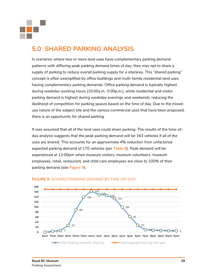

### <span id="page-31-0"></span>**5.0 SHARED PARKING ANALYSIS**

In scenarios where two or more land uses have complementary parking demand patterns with differing peak parking demand times of day, they may opt to share a supply of parking to reduce overall parking supply for a site/area. This "shared parking" concept is often exemplified by office buildings and multi-family residential land uses having complementary parking demands. Office parking demand is typically highest during weekday working hours (10:00a.m.-5:00p.m.), while residential and visitor parking demand is highest during weekday evenings and weekends, reducing the likelihood of competition for parking spaces based on the time of day. Due to the mixeduse nature of the subject site and the various commercial uses that have been proposed, there is an opportunity for shared parking.

It was assumed that all of the land uses could share parking. The results of the time-ofday analysis suggests that the peak parking demand will be 163 vehicles if all of the uses are shared. This accounts for an approximate 4% reduction from unfactored expected parking demand of 170 vehicles (per **Table 6**). Peak demand will be experienced at 12:00pm when museum visitors, museum volunteers, museum employees, retail, restaurant, and child care employees are close to 100% of their parking demand (see **Figure 9**).



#### **FIGURE 9.** SHARED PARKING DEMAND BY TIME-OF-DAY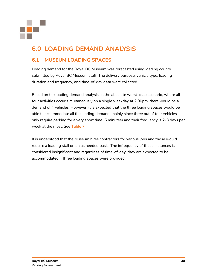

## <span id="page-32-0"></span>**6.0 LOADING DEMAND ANALYSIS**

### <span id="page-32-1"></span>**6.1 MUSEUM LOADING SPACES**

Loading demand for the Royal BC Museum was forecasted using loading counts submitted by Royal BC Museum staff. The delivery purpose, vehicle type, loading duration and frequency, and time-of-day data were collected.

Based on the loading demand analysis, in the absolute worst-case scenario, where all four activities occur simultaneously on a single weekday at 2:00pm, there would be a demand of 4 vehicles. However, it is expected that the three loading spaces would be able to accommodate all the loading demand, mainly since three out of four vehicles only require parking for a very short time (5 minutes) and their frequency is 2-3 days per week at the most. See **Table 7**.

It is understood that the Museum hires contractors for various jobs and those would require a loading stall on an as needed basis. The infrequency of those instances is considered insignificant and regardless of time-of-day, they are expected to be accommodated if three loading spaces were provided.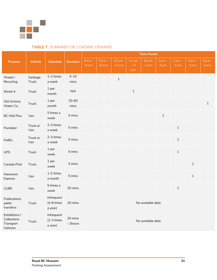

#### **TABLE 7.** SUMMARY OF LOADING DEMAND

|                                                       |                  |                                     |                     | <b>Time Period</b> |                       |                       |                          |                      |                      |                      |                        |                    |
|-------------------------------------------------------|------------------|-------------------------------------|---------------------|--------------------|-----------------------|-----------------------|--------------------------|----------------------|----------------------|----------------------|------------------------|--------------------|
| <b>Purpose</b>                                        | <b>Vehicle</b>   | <b>Schedule</b>                     | <b>Duration</b>     | 8 a.m. -<br>9a.m.  | $9 a.m. -$<br>10 p.m. | 10 a.m.<br>$-11$ a.m. | 11 a.m.<br>$-12$<br>p.m. | 12 p.m.<br>$-1$ p.m. | $1 p.m. -$<br>2 p.m. | $2 p.m. -$<br>3 p.m. | $3$ p.m. $-$<br>4 p.m. | 4 p.m. -<br>5 p.m. |
| Waste /<br>Recycling                                  | Garbage<br>Truck | $1-2$ times<br>a week               | $5 - 10$<br>mins    |                    |                       | $\mathbf 1$           |                          |                      |                      |                      |                        |                    |
| Shred-it                                              | <b>Truck</b>     | 1 per<br>month                      | N/A                 |                    |                       |                       | $\,1\,$                  |                      |                      |                      |                        |                    |
| Old Victoria<br>Water Co.                             | Truck            | 1 per<br>month                      | $20 - 60$<br>mins   |                    |                       |                       |                          |                      |                      |                      |                        | $\mathbf{1}$       |
| <b>BC Mail Plus</b>                                   | Van              | 5 times a<br>week                   | 5 mins              |                    |                       |                       |                          |                      | $\,1\,$              |                      |                        |                    |
| Purolator                                             | Truck or<br>Van  | 2-3 times<br>a week                 | 5 mins              |                    |                       |                       |                          |                      |                      | $\mathbf{1}$         |                        |                    |
| FedEx                                                 | Truck or<br>Van  | 2-3 times<br>a week                 | 5 mins              |                    |                       |                       |                          |                      |                      | $\mathbf{1}$         |                        |                    |
| <b>UPS</b>                                            | <b>Truck</b>     | 1 per<br>week                       | 5 mins              |                    |                       |                       |                          |                      |                      | $\,1\,$              |                        |                    |
| Canada Post                                           | Truck            | 1 per<br>week                       | 5 mins              |                    |                       |                       |                          |                      |                      |                      | $1\,$                  |                    |
| Maximum<br>Express                                    | Van              | 1-2 times<br>a month                | 5 mins              |                    |                       |                       |                          |                      |                      |                      | $\mathbf{1}$           |                    |
| <b>CUBE</b>                                           | Van              | 5 times a<br>week                   | 20 mins             |                    |                       |                       |                          |                      |                      | $\mathbf{1}$         |                        |                    |
| Publications<br>pallet<br>transfers                   | Truck            | Infrequent<br>(4-8 times<br>a year) | 20 mins             |                    |                       |                       |                          | No available data    |                      |                      |                        |                    |
| Exhibitions /<br>Collections<br>Transport<br>Vehicles | <b>Truck</b>     | Infrequent<br>(2-3 times<br>a year) | 20 mins<br>- 2hours |                    |                       |                       |                          | No available data    |                      |                      |                        |                    |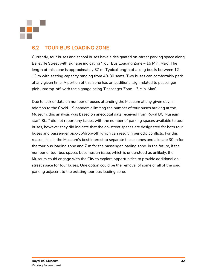

### <span id="page-34-0"></span>**6.2 TOUR BUS LOADING ZONE**

Currently, tour buses and school buses have a designated on-street parking space along Belleville Street with signage indicating 'Tour Bus Loading Zone – 15 Min. Max'. The length of this zone is approximately 37 m. Typical length of a long bus is between 12- 13 m with seating capacity ranging from 40-80 seats. Two buses can comfortably park at any given time. A portion of this zone has an additional sign related to passenger pick-up/drop-off, with the signage being 'Passenger Zone – 3 Min. Max'.

Due to lack of data on number of buses attending the Museum at any given day, in addition to the Covid-19 pandemic limiting the number of tour buses arriving at the Museum, this analysis was based on anecdotal data received from Royal BC Museum staff. Staff did not report any issues with the number of parking spaces available to tour buses, however they did indicate that the on-street spaces are designated for both tour buses and passenger pick-up/drop-off, which can result in periodic conflicts. For this reason, it is in the Museum's best interest to separate these zones and allocate 30 m for the tour bus loading zone and 7 m for the passenger loading zone. In the future, if the number of tour bus spaces becomes an issue, which is understood as unlikely, the Museum could engage with the City to explore opportunities to provide additional onstreet space for tour buses. One option could be the removal of some or all of the paid parking adjacent to the existing tour bus loading zone.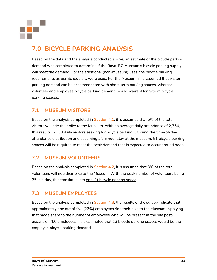

## <span id="page-35-0"></span>**7.0 BICYCLE PARKING ANALYSIS**

Based on the data and the analysis conducted above, an estimate of the bicycle parking demand was completed to determine if the Royal BC Museum's bicycle parking supply will meet the demand. For the additional (non-museum) uses, the bicycle parking requirements as per Schedule C were used. For the Museum, it is assumed that visitor parking demand can be accommodated with short-term parking spaces, whereas volunteer and employee bicycle parking demand would warrant long-term bicycle parking spaces.

### <span id="page-35-1"></span>**7.1 MUSEUM VISITORS**

Based on the analysis completed in **Section 4.1**, it is assumed that 5% of the total visitors will ride their bike to the Museum. With an average daily attendance of 2,766, this results in 138 daily visitors seeking for bicycle parking. Utilizing the time-of-day attendance distribution and assuming a 2.5 hour stay at the museum, 61 bicycle parking spaces will be required to meet the peak demand that is expected to occur around noon.

#### <span id="page-35-2"></span>**7.2 MUSEUM VOLUNTEERS**

Based on the analysis completed in **Section 4.2**, it is assumed that 3% of the total volunteers will ride their bike to the Museum. With the peak number of volunteers being 25 in a day, this translates into one (1) bicycle parking space.

#### <span id="page-35-3"></span>**7.3 MUSEUM EMPLOYEES**

Based on the analysis completed in **Section 4.3**, the results of the survey indicate that approximately one out of five (22%) employees ride their bike to the Museum. Applying that mode share to the number of employees who will be present at the site postexpansion (60 employees), it is estimated that 13 bicycle parking spaces would be the employee bicycle parking demand.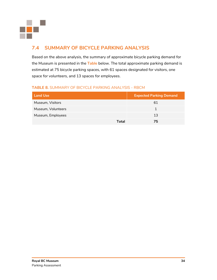

### <span id="page-36-0"></span>**7.4 SUMMARY OF BICYCLE PARKING ANALYSIS**

Based on the above analysis, the summary of approximate bicycle parking demand for the Museum is presented in the **Table** below. The total approximate parking demand is estimated at 75 bicycle parking spaces, with 61 spaces designated for visitors, one space for volunteers, and 13 spaces for employees.

#### **TABLE 8.** SUMMARY OF BICYCLE PARKING ANALYSIS - RBCM

| <b>Land Use</b>    | <b>Expected Parking Demand</b> |
|--------------------|--------------------------------|
| Museum, Visitors   | 61                             |
| Museum, Volunteers |                                |
| Museum, Employees  | 13                             |
|                    | Total<br>75                    |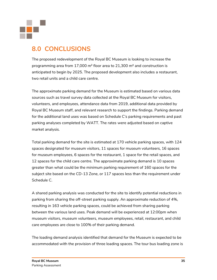

### <span id="page-37-0"></span>**8.0 CONCLUSIONS**

The proposed redevelopment of the Royal BC Museum is looking to increase the programming area from 17,000 m² floor area to 21,300 m² and construction is anticipated to begin by 2025. The proposed development also includes a restaurant, two retail units and a child care centre.

The approximate parking demand for the Museum is estimated based on various data sources such as travel survey data collected at the Royal BC Museum for visitors, volunteers, and employees, attendance data from 2019, additional data provided by Royal BC Museum staff, and relevant research to support the findings. Parking demand for the additional land uses was based on Schedule C's parking requirements and past parking analyses completed by WATT. The rates were adjusted based on captive market analysis.

Total parking demand for the site is estimated at 170 vehicle parking spaces, with 124 spaces designated for museum visitors, 11 spaces for museum volunteers, 16 spaces for museum employees, 6 spaces for the restaurant, 1 space for the retail spaces, and 12 spaces for the child care centre. The approximate parking demand is 10 spaces greater than what could be the minimum parking requirement of 160 spaces for the subject site based on the CD-13 Zone, or 117 spaces less than the requirement under Schedule C.

A shared parking analysis was conducted for the site to identify potential reductions in parking from sharing the off-street parking supply. An approximate reduction of 4%, resulting in 163 vehicle parking spaces, could be achieved from sharing parking between the various land uses. Peak demand will be experienced at 12:00pm when museum visitors, museum volunteers, museum employees, retail, restaurant, and child care employees are close to 100% of their parking demand.

The loading demand analysis identified that demand for the Museum is expected to be accommodated with the provision of three loading spaces. The tour bus loading zone is